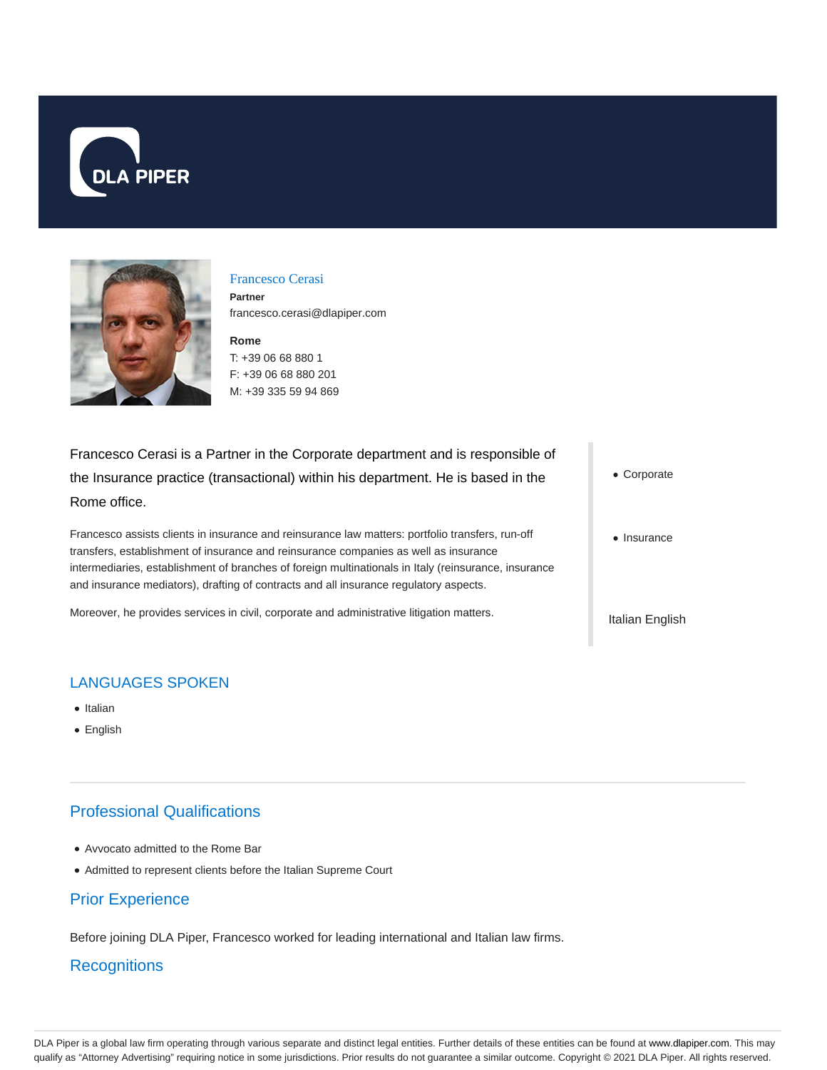



#### Francesco Cerasi

**Partner** francesco.cerasi@dlapiper.com

#### **Rome** T: +39 06 68 880 1

F: +39 06 68 880 201 M: +39 335 59 94 869

Francesco Cerasi is a Partner in the Corporate department and is responsible of the Insurance practice (transactional) within his department. He is based in the Rome office.

Francesco assists clients in insurance and reinsurance law matters: portfolio transfers, run-off transfers, establishment of insurance and reinsurance companies as well as insurance intermediaries, establishment of branches of foreign multinationals in Italy (reinsurance, insurance and insurance mediators), drafting of contracts and all insurance regulatory aspects.

Moreover, he provides services in civil, corporate and administrative litigation matters.

Corporate

• Insurance

Italian English

# LANGUAGES SPOKEN

- Italian
- English

# Professional Qualifications

- Avvocato admitted to the Rome Bar
- Admitted to represent clients before the Italian Supreme Court

# Prior Experience

Before joining DLA Piper, Francesco worked for leading international and Italian law firms.

### **Recognitions**

DLA Piper is a global law firm operating through various separate and distinct legal entities. Further details of these entities can be found at www.dlapiper.com. This may qualify as "Attorney Advertising" requiring notice in some jurisdictions. Prior results do not guarantee a similar outcome. Copyright © 2021 DLA Piper. All rights reserved.